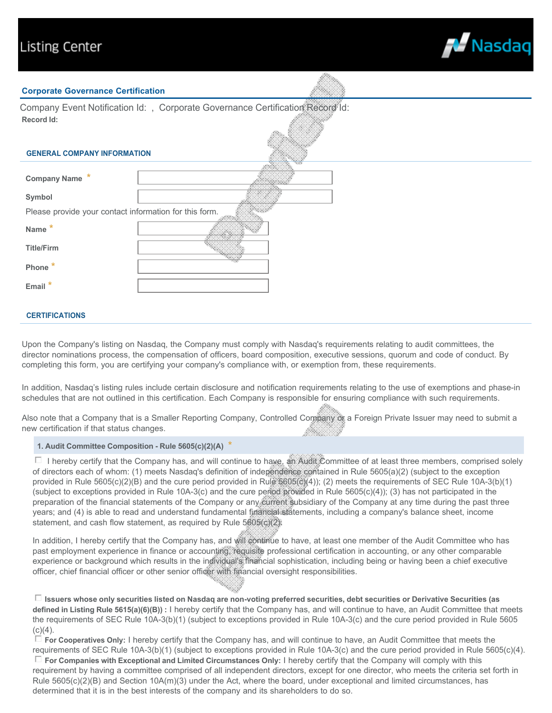

#### **Corporate Governance Certification**

| Record Id:                                             | Company Event Notification Id: , Corporate Governance Certification Record Id: |
|--------------------------------------------------------|--------------------------------------------------------------------------------|
| <b>GENERAL COMPANY INFORMATION</b>                     |                                                                                |
| <b>Company Name</b>                                    |                                                                                |
| Symbol                                                 |                                                                                |
| Please provide your contact information for this form. |                                                                                |
| <b>Name</b>                                            |                                                                                |
| <b>Title/Firm</b>                                      |                                                                                |
| Phone                                                  |                                                                                |
| Email                                                  |                                                                                |

#### **CERTIFICATIONS**

Upon the Company's listing on Nasdaq, the Company must comply with Nasdaq's requirements relating to audit committees, the director nominations process, the compensation of officers, board composition, executive sessions, quorum and code of conduct. By completing this form, you are certifying your company's compliance with, or exemption from, these requirements.

In addition, Nasdaq's listing rules include certain disclosure and notification requirements relating to the use of exemptions and phase-in schedules that are not outlined in this certification. Each Company is responsible for ensuring compliance with such requirements.

Also note that a Company that is a Smaller Reporting Company, Controlled Company of a Foreign Private Issuer may need to submit a new certification if that status changes. m.

#### **1. Audit Committee Composition - Rule 5605(c)(2)(A)** *\**

 $\Box$  I hereby certify that the Company has, and will continue to have, an Audit Committee of at least three members, comprised solely of directors each of whom: (1) meets Nasdaq's definition of independence contained in Rule 5605(a)(2) (subject to the exception provided in Rule 5605(c)(2)(B) and the cure period provided in Rule \$605(c)(4)); (2) meets the requirements of SEC Rule 10A-3(b)(1) (subject to exceptions provided in Rule 10A-3(c) and the cure period provided in Rule 5605(c)(4)); (3) has not participated in the preparation of the financial statements of the Company or any current subsidiary of the Company at any time during the past three years; and (4) is able to read and understand fundamental financial statements, including a company's balance sheet, income statement, and cash flow statement, as required by Rule 5605(c)(2).

In addition, I hereby certify that the Company has, and will continue to have, at least one member of the Audit Committee who has past employment experience in finance or accounting, requisite professional certification in accounting, or any other comparable experience or background which results in the individual's financial sophistication, including being or having been a chief executive officer, chief financial officer or other senior officer with financial oversight responsibilities.

gfedc **Issuers whose only securities listed on Nasdaq are non-voting preferred securities, debt securities or Derivative Securities (as defined in Listing Rule 5615(a)(6)(B)) :** I hereby certify that the Company has, and will continue to have, an Audit Committee that meets the requirements of SEC Rule 10A-3(b)(1) (subject to exceptions provided in Rule 10A-3(c) and the cure period provided in Rule 5605  $(c)(4)$ .

 $\Box$  For Cooperatives Only: I hereby certify that the Company has, and will continue to have, an Audit Committee that meets the requirements of SEC Rule 10A-3(b)(1) (subject to exceptions provided in Rule 10A-3(c) and the cure period provided in Rule 5605(c)(4).  $\Box$  For Companies with Exceptional and Limited Circumstances Only: I hereby certify that the Company will comply with this requirement by having a committee comprised of all independent directors, except for one director, who meets the criteria set forth in Rule 5605(c)(2)(B) and Section 10A(m)(3) under the Act, where the board, under exceptional and limited circumstances, has determined that it is in the best interests of the company and its shareholders to do so.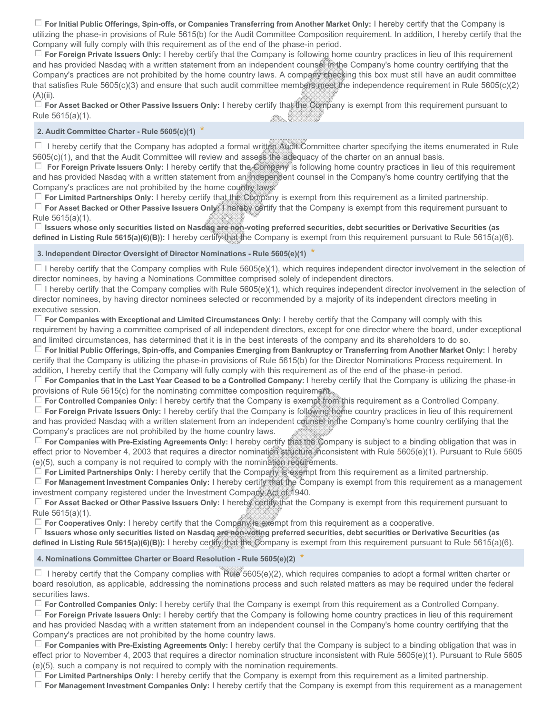$\Box$  For Initial Public Offerings, Spin-offs, or Companies Transferring from Another Market Only: I hereby certify that the Company is utilizing the phase-in provisions of Rule 5615(b) for the Audit Committee Composition requirement. In addition, I hereby certify that the Company will fully comply with this requirement as of the end of the phase-in period.

 $\Box$  For Foreign Private Issuers Only: I hereby certify that the Company is following home country practices in lieu of this requirement and has provided Nasdaq with a written statement from an independent counsel in the Company's home country certifying that the Company's practices are not prohibited by the home country laws. A company checking this box must still have an audit committee that satisfies Rule 5605(c)(3) and ensure that such audit committee members meet the independence requirement in Rule 5605(c)(2)  $(A)(ii)$ .

 $\Box$  For Asset Backed or Other Passive Issuers Only: I hereby certify that the Company is exempt from this requirement pursuant to Rule 5615(a)(1). an. 1999-1992

# **2. Audit Committee Charter - Rule 5605(c)(1)** *\**

 $\Box$  I hereby certify that the Company has adopted a formal written Audit Committee charter specifying the items enumerated in Rule 5605(c)(1), and that the Audit Committee will review and assess the adequacy of the charter on an annual basis.

 $\Box$  For Foreign Private Issuers Only: I hereby certify that the Company is following home country practices in lieu of this requirement and has provided Nasdaq with a written statement from an independent counsel in the Company's home country certifying that the Company's practices are not prohibited by the home country laws.

 $\Box$  For Limited Partnerships Only: I hereby certify that the Company is exempt from this requirement as a limited partnership.

gfedc **For Asset Backed or Other Passive Issuers Only:** I hereby certify that the Company is exempt from this requirement pursuant to Rule 5615(a)(1).

gfedc **Issuers whose only securities listed on Nasdaq are non-voting preferred securities, debt securities or Derivative Securities (as defined in Listing Rule 5615(a)(6)(B)):** I hereby certify that the Company is exempt from this requirement pursuant to Rule 5615(a)(6).

# **3. Independent Director Oversight of Director Nominations - Rule 5605(e)(1)** *\**

 $\Box$  I hereby certify that the Company complies with Rule 5605(e)(1), which requires independent director involvement in the selection of director nominees, by having a Nominations Committee comprised solely of independent directors.

 $\Box$  I hereby certify that the Company complies with Rule 5605(e)(1), which requires independent director involvement in the selection of director nominees, by having director nominees selected or recommended by a majority of its independent directors meeting in executive session.

 $\Box$  For Companies with Exceptional and Limited Circumstances Only: I hereby certify that the Company will comply with this requirement by having a committee comprised of all independent directors, except for one director where the board, under exceptional and limited circumstances, has determined that it is in the best interests of the company and its shareholders to do so.

gfedc **For Initial Public Offerings, Spin-offs, and Companies Emerging from Bankruptcy or Transferring from Another Market Only:** I hereby certify that the Company is utilizing the phase-in provisions of Rule 5615(b) for the Director Nominations Process requirement. In addition, I hereby certify that the Company will fully comply with this requirement as of the end of the phase-in period.

gfedc **For Companies that in the Last Year Ceased to be a Controlled Company:** I hereby certify that the Company is utilizing the phase-in provisions of Rule 5615(c) for the nominating committee composition requirement.

gfedc **For Controlled Companies Only:** I hereby certify that the Company is exempt from this requirement as a Controlled Company.

 $\Box$  For Foreign Private Issuers Only: I hereby certify that the Company is following home country practices in lieu of this requirement and has provided Nasdaq with a written statement from an independent counsel in the Company's home country certifying that the Company's practices are not prohibited by the home country laws.

□ **For Companies with Pre-Existing Agreements Only:** I hereby certify that the Company is subject to a binding obligation that was in effect prior to November 4, 2003 that requires a director nomination structure inconsistent with Rule 5605(e)(1). Pursuant to Rule 5605 (e)(5), such a company is not required to comply with the nomination requirements.

 $\Box$  For Limited Partnerships Only: I hereby certify that the Company is exempt from this requirement as a limited partnership.

gfedc **For Management Investment Companies Only:** I hereby certify that the Company is exempt from this requirement as a management investment company registered under the Investment Company Act of 1940.

gfedc **For Asset Backed or Other Passive Issuers Only:** I hereby certify that the Company is exempt from this requirement pursuant to Rule 5615(a)(1).

gfedc **For Cooperatives Only:** I hereby certify that the Company is exempt from this requirement as a cooperative.

 $\Box$  Issuers whose only securities listed on Nasdaq are non-voting preferred securities, debt securities or Derivative Securities (as **defined in Listing Rule 5615(a)(6)(B)):** I hereby certify that the Company is exempt from this requirement pursuant to Rule 5615(a)(6).

### **4. Nominations Committee Charter or Board Resolution - Rule 5605(e)(2)** *\**

 $\Box$  I hereby certify that the Company complies with Rule 5605(e)(2), which requires companies to adopt a formal written charter or board resolution, as applicable, addressing the nominations process and such related matters as may be required under the federal securities laws.

gfedc **For Controlled Companies Only:** I hereby certify that the Company is exempt from this requirement as a Controlled Company.

gfedc **For Foreign Private Issuers Only:** I hereby certify that the Company is following home country practices in lieu of this requirement and has provided Nasdaq with a written statement from an independent counsel in the Company's home country certifying that the Company's practices are not prohibited by the home country laws.

gfedc **For Companies with Pre-Existing Agreements Only:** I hereby certify that the Company is subject to a binding obligation that was in effect prior to November 4, 2003 that requires a director nomination structure inconsistent with Rule 5605(e)(1). Pursuant to Rule 5605 (e)(5), such a company is not required to comply with the nomination requirements.

 $\Box$  For Limited Partnerships Only: I hereby certify that the Company is exempt from this requirement as a limited partnership.

 $\Box$  For Management Investment Companies Only: I hereby certify that the Company is exempt from this requirement as a management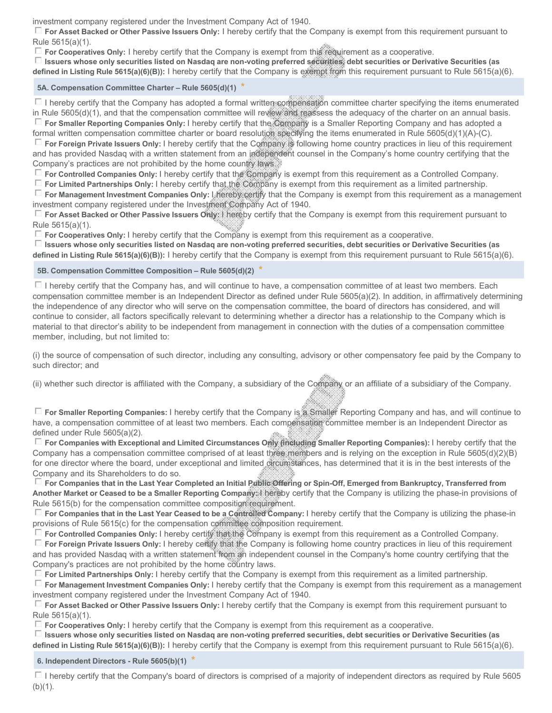investment company registered under the Investment Company Act of 1940.

gfedc **For Asset Backed or Other Passive Issuers Only:** I hereby certify that the Company is exempt from this requirement pursuant to Rule 5615(a)(1).

gfedc **For Cooperatives Only:** I hereby certify that the Company is exempt from this requirement as a cooperative.

 $\Box$  Issuers whose only securities listed on Nasdaq are non-voting preferred securities, debt securities or Derivative Securities (as **defined in Listing Rule 5615(a)(6)(B)):** I hereby certify that the Company is exempt from this requirement pursuant to Rule 5615(a)(6).

# **5A. Compensation Committee Charter – Rule 5605(d)(1)** *\**

 $\Box$  I hereby certify that the Company has adopted a formal written compensation committee charter specifying the items enumerated in Rule 5605(d)(1), and that the compensation committee will review and reassess the adequacy of the charter on an annual basis. **F** For Smaller Reporting Companies Only: I hereby certify that the Company is a Smaller Reporting Company and has adopted a

formal written compensation committee charter or board resolution specifying the items enumerated in Rule 5605(d)(1)(A)-(C). gfedc **For Foreign Private Issuers Only:** I hereby certify that the Company is following home country practices in lieu of this requirement and has provided Nasdaq with a written statement from an independent counsel in the Company's home country certifying that the Company's practices are not prohibited by the home country laws.

gfedc **For Controlled Companies Only:** I hereby certify that the Company is exempt from this requirement as a Controlled Company.

 $\Box$  For Limited Partnerships Only: I hereby certify that the Company is exempt from this requirement as a limited partnership.

**For Management Investment Companies Only: I** hereby certify that the Company is exempt from this requirement as a management investment company registered under the Investment Company Act of 1940.

gfedc **For Asset Backed or Other Passive Issuers Only:** I hereby certify that the Company is exempt from this requirement pursuant to Rule 5615(a)(1).

gfedc **For Cooperatives Only:** I hereby certify that the Company is exempt from this requirement as a cooperative.

 $\Box$  Issuers whose only securities listed on Nasdaq are non-voting preferred securities, debt securities or Derivative Securities (as **defined in Listing Rule 5615(a)(6)(B)):** I hereby certify that the Company is exempt from this requirement pursuant to Rule 5615(a)(6).

### **5B. Compensation Committee Composition – Rule 5605(d)(2)** *\**

 $\Box$  I hereby certify that the Company has, and will continue to have, a compensation committee of at least two members. Each compensation committee member is an Independent Director as defined under Rule 5605(a)(2). In addition, in affirmatively determining the independence of any director who will serve on the compensation committee, the board of directors has considered, and will continue to consider, all factors specifically relevant to determining whether a director has a relationship to the Company which is material to that director's ability to be independent from management in connection with the duties of a compensation committee member, including, but not limited to:

(i) the source of compensation of such director, including any consulting, advisory or other compensatory fee paid by the Company to such director; and

(ii) whether such director is affiliated with the Company, a subsidiary of the Company or an affiliate of a subsidiary of the Company.

gfedc **For Smaller Reporting Companies:** I hereby certify that the Company is a Smaller Reporting Company and has, and will continue to have, a compensation committee of at least two members. Each compensation committee member is an Independent Director as defined under Rule 5605(a)(2).

□ For Companies with Exceptional and Limited Circumstances Only (including Smaller Reporting Companies): I hereby certify that the Company has a compensation committee comprised of at least three members and is relying on the exception in Rule 5605(d)(2)(B) for one director where the board, under exceptional and limited circumstances, has determined that it is in the best interests of the Company and its Shareholders to do so.

gfedc **For Companies that in the Last Year Completed an Initial Public Offering or Spin-Off, Emerged from Bankruptcy, Transferred from Another Market or Ceased to be a Smaller Reporting Company:** I hereby certify that the Company is utilizing the phase-in provisions of Rule 5615(b) for the compensation committee composition requirement.

gfedc **For Companies that in the Last Year Ceased to be a Controlled Company:** I hereby certify that the Company is utilizing the phase-in provisions of Rule 5615(c) for the compensation committee composition requirement.

gfedc **For Controlled Companies Only:** I hereby certify that the Company is exempt from this requirement as a Controlled Company.

gfedc **For Foreign Private Issuers Only:** I hereby certify that the Company is following home country practices in lieu of this requirement and has provided Nasdaq with a written statement from an independent counsel in the Company's home country certifying that the Company's practices are not prohibited by the home country laws.

gfedc **For Limited Partnerships Only:** I hereby certify that the Company is exempt from this requirement as a limited partnership.

gfedc **For Management Investment Companies Only:** I hereby certify that the Company is exempt from this requirement as a management investment company registered under the Investment Company Act of 1940.

gfedc **For Asset Backed or Other Passive Issuers Only:** I hereby certify that the Company is exempt from this requirement pursuant to Rule 5615(a)(1).

gfedc **For Cooperatives Only:** I hereby certify that the Company is exempt from this requirement as a cooperative.

 $\Box$  Issuers whose only securities listed on Nasdaq are non-voting preferred securities, debt securities or Derivative Securities (as **defined in Listing Rule 5615(a)(6)(B)):** I hereby certify that the Company is exempt from this requirement pursuant to Rule 5615(a)(6).

### **6. Independent Directors - Rule 5605(b)(1)** *\**

 $\Box$  I hereby certify that the Company's board of directors is comprised of a majority of independent directors as required by Rule 5605  $(b)(1)$ .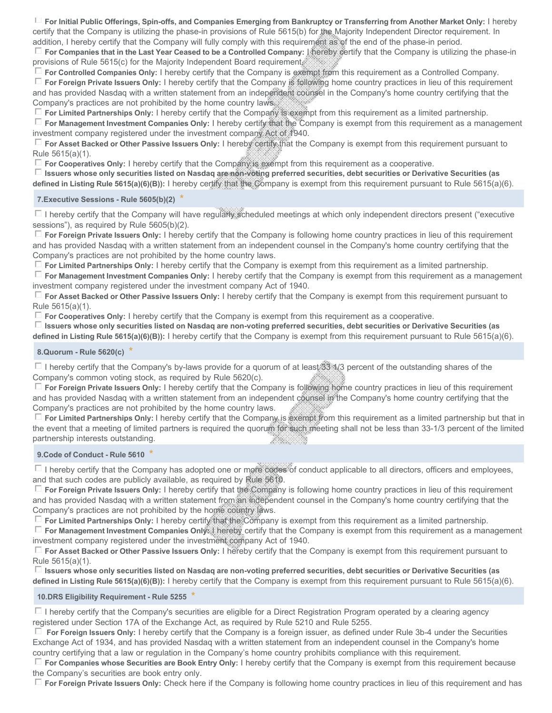$\Box$  For Initial Public Offerings, Spin-offs, and Companies Emerging from Bankruptcy or Transferring from Another Market Only: I hereby certify that the Company is utilizing the phase-in provisions of Rule 5615(b) for the Majority Independent Director requirement. In addition, I hereby certify that the Company will fully comply with this requirement as of the end of the phase-in period.

gfedc **For Companies that in the Last Year Ceased to be a Controlled Company:** I hereby certify that the Company is utilizing the phase-in provisions of Rule 5615(c) for the Majority Independent Board requirement.

 $\Box$  For Controlled Companies Only: I hereby certify that the Company is exempt from this requirement as a Controlled Company.

**F** For Foreign Private Issuers Only: I hereby certify that the Company is following home country practices in lieu of this requirement and has provided Nasdaq with a written statement from an independent counsel in the Company's home country certifying that the Company's practices are not prohibited by the home country laws.

gfedc **For Limited Partnerships Only:** I hereby certify that the Company is exempt from this requirement as a limited partnership.

gfedc **For Management Investment Companies Only:** I hereby certify that the Company is exempt from this requirement as a management investment company registered under the investment company Act of 1940.

gfedc **For Asset Backed or Other Passive Issuers Only:** I hereby certify that the Company is exempt from this requirement pursuant to Rule 5615(a)(1).

 $\square$  For Cooperatives Only: I hereby certify that the Company is exempt from this requirement as a cooperative.

gfedc **Issuers whose only securities listed on Nasdaq are non-voting preferred securities, debt securities or Derivative Securities (as defined in Listing Rule 5615(a)(6)(B)):** I hereby certify that the Company is exempt from this requirement pursuant to Rule 5615(a)(6).

### **7.Executive Sessions - Rule 5605(b)(2)** *\**

 $\square$  I hereby certify that the Company will have regularly scheduled meetings at which only independent directors present ("executive sessions"), as required by Rule 5605(b)(2).

 $\Box$  For Foreign Private Issuers Only: I hereby certify that the Company is following home country practices in lieu of this requirement and has provided Nasdaq with a written statement from an independent counsel in the Company's home country certifying that the Company's practices are not prohibited by the home country laws.

gfedc **For Limited Partnerships Only:** I hereby certify that the Company is exempt from this requirement as a limited partnership.

gfedc **For Management Investment Companies Only:** I hereby certify that the Company is exempt from this requirement as a management investment company registered under the investment company Act of 1940.

gfedc **For Asset Backed or Other Passive Issuers Only:** I hereby certify that the Company is exempt from this requirement pursuant to Rule 5615(a)(1).

 $\Box$  For Cooperatives Only: I hereby certify that the Company is exempt from this requirement as a cooperative.

 $\Box$  Issuers whose only securities listed on Nasdaq are non-voting preferred securities, debt securities or Derivative Securities (as **defined in Listing Rule 5615(a)(6)(B)):** I hereby certify that the Company is exempt from this requirement pursuant to Rule 5615(a)(6).

# **8.Quorum - Rule 5620(c)** *\**

 $\Box$  I hereby certify that the Company's by-laws provide for a quorum of at least 33 1/3 percent of the outstanding shares of the Company's common voting stock, as required by Rule 5620(c).

 $\Box$  For Foreign Private Issuers Only: I hereby certify that the Company is following home country practices in lieu of this requirement and has provided Nasdaq with a written statement from an independent counsel in the Company's home country certifying that the Company's practices are not prohibited by the home country laws.

□ **For Limited Partnerships Only:** I hereby certify that the Company is exempt from this requirement as a limited partnership but that in the event that a meeting of limited partners is required the quorum for such meeting shall not be less than 33-1/3 percent of the limited partnership interests outstanding. an an

### **9.Code of Conduct - Rule 5610** *\**

 $\Box$  I hereby certify that the Company has adopted one or more codes of conduct applicable to all directors, officers and employees, and that such codes are publicly available, as required by Rule 5610.

gfedc **For Foreign Private Issuers Only:** I hereby certify that the Company is following home country practices in lieu of this requirement and has provided Nasdaq with a written statement from an independent counsel in the Company's home country certifying that the Company's practices are not prohibited by the home country laws.

gfedc **For Limited Partnerships Only:** I hereby certify that the Company is exempt from this requirement as a limited partnership.

**For Management Investment Companies Only:** hereby certify that the Company is exempt from this requirement as a management investment company registered under the investment company Act of 1940.

gfedc **For Asset Backed or Other Passive Issuers Only:** I hereby certify that the Company is exempt from this requirement pursuant to Rule 5615(a)(1).

 $\Box$  Issuers whose only securities listed on Nasdaq are non-voting preferred securities, debt securities or Derivative Securities (as **defined in Listing Rule 5615(a)(6)(B)):** I hereby certify that the Company is exempt from this requirement pursuant to Rule 5615(a)(6).

### **10.DRS Eligibility Requirement - Rule 5255** *\**

 $\Box$  I hereby certify that the Company's securities are eligible for a Direct Registration Program operated by a clearing agency registered under Section 17A of the Exchange Act, as required by Rule 5210 and Rule 5255.

 $\Box$  For Foreign Issuers Only: I hereby certify that the Company is a foreign issuer, as defined under Rule 3b-4 under the Securities Exchange Act of 1934, and has provided Nasdaq with a written statement from an independent counsel in the Company's home country certifying that a law or regulation in the Company's home country prohibits compliance with this requirement.

gfedc **For Companies whose Securities are Book Entry Only:** I hereby certify that the Company is exempt from this requirement because the Company's securities are book entry only.

gfedc **For Foreign Private Issuers Only:** Check here if the Company is following home country practices in lieu of this requirement and has